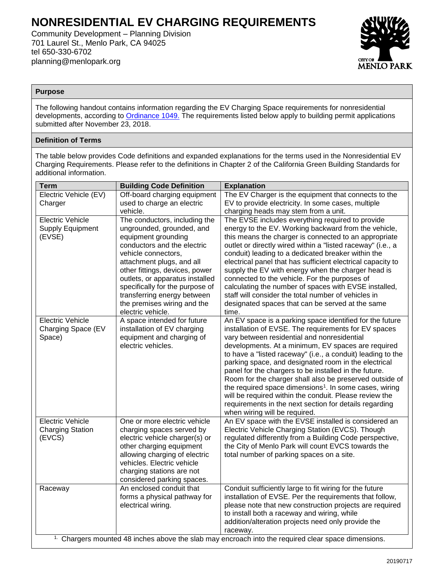# **NONRESIDENTIAL EV CHARGING REQUIREMENTS**

Community Development – Planning Division 701 Laurel St., Menlo Park, CA 94025 tel 650-330-6702 planning@menlopark.org



## **Purpose**

The following handout contains information regarding the EV Charging Space requirements for nonresidential developments, according to [Ordinance 1049.](https://www.menlopark.org/DocumentCenter/View/18835/H5---CD---EV-chargers---18-193) The requirements listed below apply to building permit applications submitted after November 23, 2018.

# **Definition of Terms**

The table below provides Code definitions and expanded explanations for the terms used in the Nonresidential EV Charging Requirements. Please refer to the definitions in Chapter 2 of the California Green Building Standards for additional information.

| <b>Term</b>                                                                                                    | <b>Building Code Definition</b>                             | <b>Explanation</b>                                                                                                           |  |  |  |  |  |
|----------------------------------------------------------------------------------------------------------------|-------------------------------------------------------------|------------------------------------------------------------------------------------------------------------------------------|--|--|--|--|--|
| Electric Vehicle (EV)                                                                                          | Off-board charging equipment                                | The EV Charger is the equipment that connects to the                                                                         |  |  |  |  |  |
| Charger                                                                                                        | used to charge an electric                                  | EV to provide electricity. In some cases, multiple                                                                           |  |  |  |  |  |
|                                                                                                                | vehicle.                                                    | charging heads may stem from a unit.                                                                                         |  |  |  |  |  |
| <b>Electric Vehicle</b>                                                                                        | The conductors, including the                               | The EVSE includes everything required to provide                                                                             |  |  |  |  |  |
| <b>Supply Equipment</b>                                                                                        | ungrounded, grounded, and                                   | energy to the EV. Working backward from the vehicle,                                                                         |  |  |  |  |  |
| (EVSE)                                                                                                         | equipment grounding                                         | this means the charger is connected to an appropriate                                                                        |  |  |  |  |  |
|                                                                                                                | conductors and the electric                                 | outlet or directly wired within a "listed raceway" (i.e., a                                                                  |  |  |  |  |  |
|                                                                                                                | vehicle connectors,                                         | conduit) leading to a dedicated breaker within the                                                                           |  |  |  |  |  |
|                                                                                                                | attachment plugs, and all<br>other fittings, devices, power | electrical panel that has sufficient electrical capacity to<br>supply the EV with energy when the charger head is            |  |  |  |  |  |
|                                                                                                                | outlets, or apparatus installed                             | connected to the vehicle. For the purposes of                                                                                |  |  |  |  |  |
|                                                                                                                | specifically for the purpose of                             | calculating the number of spaces with EVSE installed,                                                                        |  |  |  |  |  |
|                                                                                                                | transferring energy between                                 | staff will consider the total number of vehicles in                                                                          |  |  |  |  |  |
|                                                                                                                | the premises wiring and the                                 | designated spaces that can be served at the same                                                                             |  |  |  |  |  |
|                                                                                                                | electric vehicle.                                           | time.                                                                                                                        |  |  |  |  |  |
| <b>Electric Vehicle</b>                                                                                        | A space intended for future                                 | An EV space is a parking space identified for the future                                                                     |  |  |  |  |  |
| Charging Space (EV                                                                                             | installation of EV charging                                 | installation of EVSE. The requirements for EV spaces                                                                         |  |  |  |  |  |
| Space)                                                                                                         | equipment and charging of                                   | vary between residential and nonresidential                                                                                  |  |  |  |  |  |
|                                                                                                                | electric vehicles.                                          | developments. At a minimum, EV spaces are required                                                                           |  |  |  |  |  |
|                                                                                                                |                                                             | to have a "listed raceway" (i.e., a conduit) leading to the                                                                  |  |  |  |  |  |
|                                                                                                                |                                                             | parking space, and designated room in the electrical                                                                         |  |  |  |  |  |
|                                                                                                                |                                                             | panel for the chargers to be installed in the future.                                                                        |  |  |  |  |  |
|                                                                                                                |                                                             | Room for the charger shall also be preserved outside of                                                                      |  |  |  |  |  |
|                                                                                                                |                                                             | the required space dimensions <sup>1</sup> . In some cases, wiring<br>will be required within the conduit. Please review the |  |  |  |  |  |
|                                                                                                                |                                                             | requirements in the next section for details regarding                                                                       |  |  |  |  |  |
|                                                                                                                |                                                             | when wiring will be required.                                                                                                |  |  |  |  |  |
| <b>Electric Vehicle</b>                                                                                        | One or more electric vehicle                                | An EV space with the EVSE installed is considered an                                                                         |  |  |  |  |  |
| <b>Charging Station</b>                                                                                        | charging spaces served by                                   | Electric Vehicle Charging Station (EVCS). Though                                                                             |  |  |  |  |  |
| (EVCS)                                                                                                         | electric vehicle charger(s) or                              | regulated differently from a Building Code perspective,                                                                      |  |  |  |  |  |
|                                                                                                                | other charging equipment                                    | the City of Menlo Park will count EVCS towards the                                                                           |  |  |  |  |  |
|                                                                                                                | allowing charging of electric                               | total number of parking spaces on a site.                                                                                    |  |  |  |  |  |
|                                                                                                                | vehicles. Electric vehicle                                  |                                                                                                                              |  |  |  |  |  |
|                                                                                                                | charging stations are not                                   |                                                                                                                              |  |  |  |  |  |
|                                                                                                                | considered parking spaces.                                  |                                                                                                                              |  |  |  |  |  |
| Raceway                                                                                                        | An enclosed conduit that                                    | Conduit sufficiently large to fit wiring for the future<br>installation of EVSE. Per the requirements that follow,           |  |  |  |  |  |
|                                                                                                                | forms a physical pathway for<br>electrical wiring.          | please note that new construction projects are required                                                                      |  |  |  |  |  |
|                                                                                                                |                                                             | to install both a raceway and wiring, while                                                                                  |  |  |  |  |  |
|                                                                                                                |                                                             | addition/alteration projects need only provide the                                                                           |  |  |  |  |  |
|                                                                                                                |                                                             | raceway.                                                                                                                     |  |  |  |  |  |
| <sup>1.</sup> Chargers mounted 48 inches above the slab may encroach into the required clear space dimensions. |                                                             |                                                                                                                              |  |  |  |  |  |